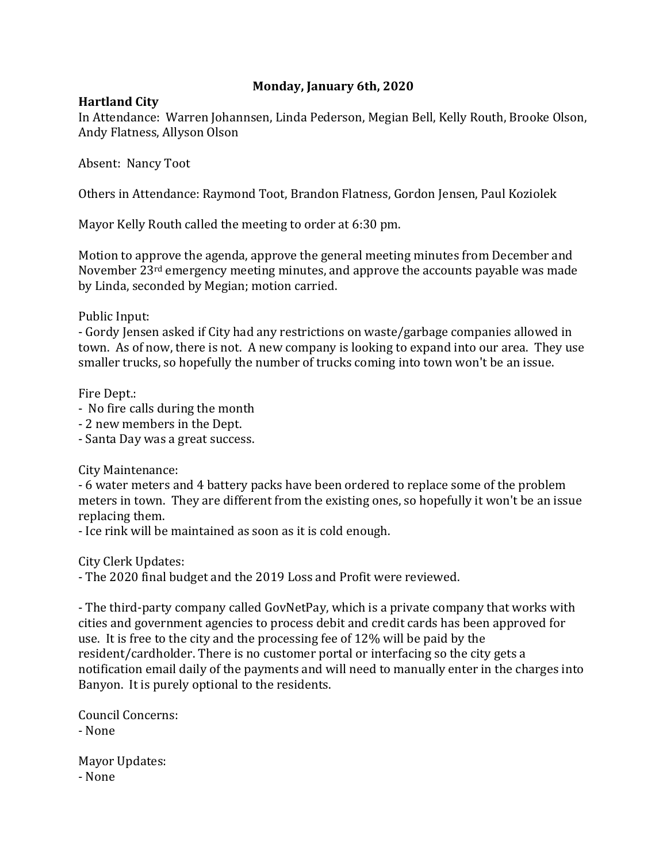## **Monday, January 6th, 2020**

## **Hartland City**

In Attendance: Warren Johannsen, Linda Pederson, Megian Bell, Kelly Routh, Brooke Olson, Andy Flatness, Allyson Olson

Absent: Nancy Toot

Others in Attendance: Raymond Toot, Brandon Flatness, Gordon Jensen, Paul Koziolek

Mayor Kelly Routh called the meeting to order at 6:30 pm.

Motion to approve the agenda, approve the general meeting minutes from December and November 23rd emergency meeting minutes, and approve the accounts payable was made by Linda, seconded by Megian; motion carried.

Public Input:

- Gordy Jensen asked if City had any restrictions on waste/garbage companies allowed in town. As of now, there is not. A new company is looking to expand into our area. They use smaller trucks, so hopefully the number of trucks coming into town won't be an issue.

Fire Dept.:

- No fire calls during the month
- 2 new members in the Dept.
- Santa Day was a great success.

City Maintenance:

- 6 water meters and 4 battery packs have been ordered to replace some of the problem meters in town. They are different from the existing ones, so hopefully it won't be an issue replacing them.

- Ice rink will be maintained as soon as it is cold enough.

City Clerk Updates:

- The 2020 final budget and the 2019 Loss and Profit were reviewed.

- The third-party company called GovNetPay, which is a private company that works with cities and government agencies to process debit and credit cards has been approved for use. It is free to the city and the processing fee of 12% will be paid by the resident/cardholder. There is no customer portal or interfacing so the city gets a notification email daily of the payments and will need to manually enter in the charges into Banyon. It is purely optional to the residents.

Council Concerns: - None

Mayor Updates: - None